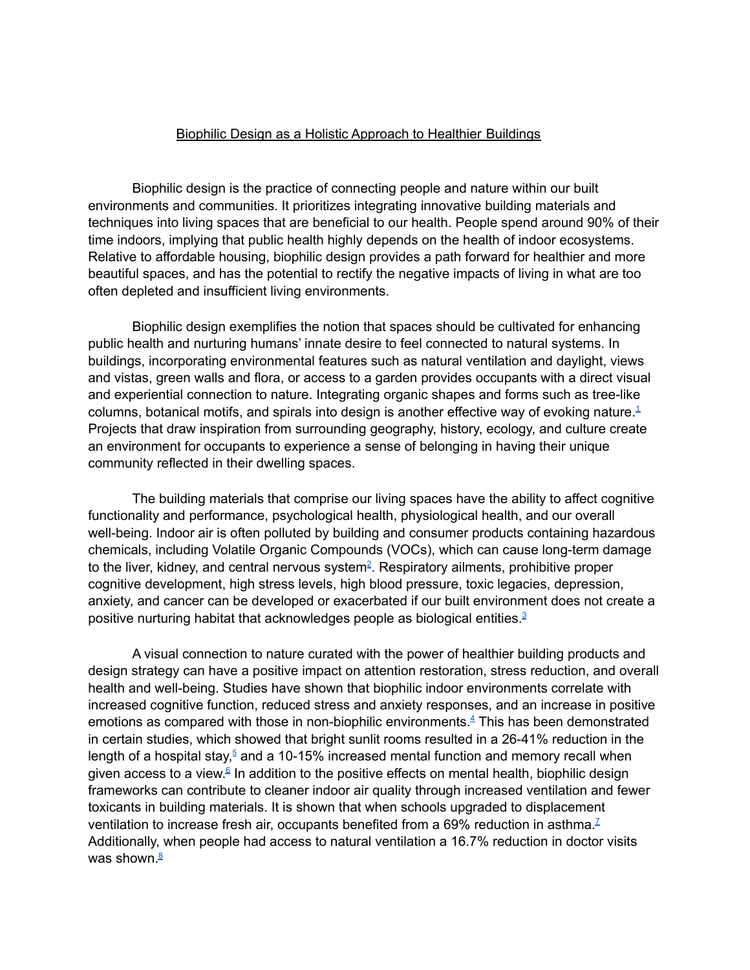## Biophilic Design as a Holistic Approach to Healthier Buildings

Biophilic design is the practice of connecting people and nature within our built environments and communities. It prioritizes integrating innovative building materials and techniques into living spaces that are beneficial to our health. People spend around 90% of their time indoors, implying that public health highly depends on the health of indoor ecosystems. Relative to affordable housing, biophilic design provides a path forward for healthier and more beautiful spaces, and has the potential to rectify the negative impacts of living in what are too often depleted and insufficient living environments.

Biophilic design exemplifies the notion that spaces should be cultivated for enhancing public health and nurturing humans' innate desire to feel connected to natural systems. In buildings, incorporating environmental features such as natural ventilation and daylight, views and vistas, green walls and flora, or access to a garden provides occupants with a direct visual and experiential connection to nature. Integrating organic shapes and forms such as tree-like columns, botanical motifs, and spirals into design is another effective way of evoking nature. $1$ Projects that draw inspiration from surrounding geography, history, ecology, and culture create an environment for occupants to experience a sense of belonging in having their unique community reflected in their dwelling spaces.

The building materials that comprise our living spaces have the ability to affect cognitive functionality and performance, psychological health, physiological health, and our overall well-being. Indoor air is often polluted by building and consumer products containing hazardous chemicals, including Volatile Organic Compounds (VOCs), which can cause long-term damage to the liver, kidney, and central nervous system<sup>2</sup>. Respiratory ailments, prohibitive proper cognitive development, high stress levels, high blood pressure, toxic legacies, depression, anxiety, and cancer can be developed or exacerbated if our built environment does not create a positive nurturing habitat that acknowledges people as biological entities.<sup>3</sup>

A visual connection to nature curated with the power of healthier building products and design strategy can have a positive impact on attention restoration, stress reduction, and overall health and well-being. Studies have shown that biophilic indoor environments correlate with increased cognitive function, reduced stress and anxiety responses, and an increase in positive emotions as compared with those in non-biophilic environments. <sup>4</sup> This has been demonstrated in certain studies, which showed that bright sunlit rooms resulted in a 26-41% reduction in the length of a hospital stay,<sup>5</sup> and a 10-15% increased mental function and memory recall when given access to a view.<sup>6</sup> In addition to the positive effects on mental health, biophilic design frameworks can contribute to cleaner indoor air quality through increased ventilation and fewer toxicants in building materials. It is shown that when schools upgraded to displacement ventilation to increase fresh air, occupants benefited from a 69% reduction in asthma.<sup>Z</sup> Additionally, when people had access to natural ventilation a 16.7% reduction in doctor visits was shown.<sup><u>8</u></sup>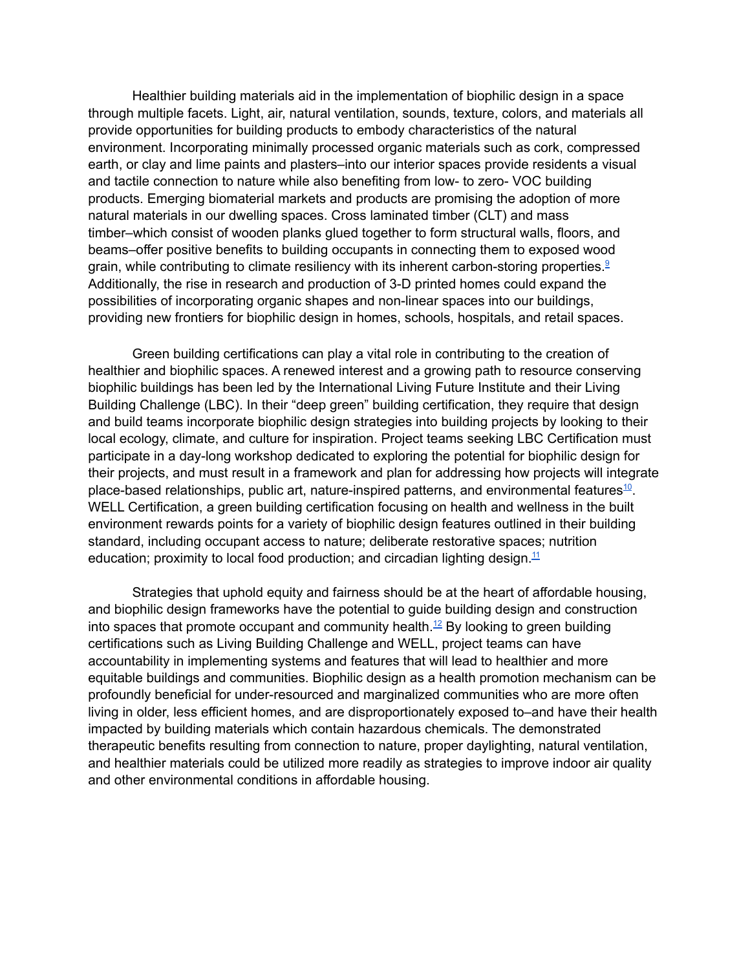Healthier building materials aid in the implementation of biophilic design in a space through multiple facets. Light, air, natural ventilation, sounds, texture, colors, and materials all provide opportunities for building products to embody characteristics of the natural environment. Incorporating minimally processed organic materials such as cork, compressed earth, or clay and lime paints and plasters–into our interior spaces provide residents a visual and tactile connection to nature while also benefiting from low- to zero- VOC building products. Emerging biomaterial markets and products are promising the adoption of more natural materials in our dwelling spaces. Cross laminated timber (CLT) and mass timber–which consist of wooden planks glued together to form structural walls, floors, and beams–offer positive benefits to building occupants in connecting them to exposed wood grain, while contributing to climate resiliency with its inherent carbon-storing properties.<sup>9</sup> Additionally, the rise in research and production of 3-D printed homes could expand the possibilities of incorporating organic shapes and non-linear spaces into our buildings, providing new frontiers for biophilic design in homes, schools, hospitals, and retail spaces.

Green building certifications can play a vital role in contributing to the creation of healthier and biophilic spaces. A renewed interest and a growing path to resource conserving biophilic buildings has been led by the International Living Future Institute and their Living Building Challenge (LBC). In their "deep green" building certification, they require that design and build teams incorporate biophilic design strategies into building projects by looking to their local ecology, climate, and culture for inspiration. Project teams seeking LBC Certification must participate in a day-long workshop dedicated to exploring the potential for biophilic design for their projects, and must result in a framework and plan for addressing how projects will integrate place-based relationships, public art, nature-inspired patterns, and environmental features<sup>10</sup>. WELL Certification, a green building certification focusing on health and wellness in the built environment rewards points for a variety of biophilic design features outlined in their building standard, including occupant access to nature; deliberate restorative spaces; nutrition education; proximity to local food production; and circadian lighting design.<sup>11</sup>

Strategies that uphold equity and fairness should be at the heart of affordable housing, and biophilic design frameworks have the potential to guide building design and construction into spaces that promote occupant and community health. $^{12}$  By looking to green building certifications such as Living Building Challenge and WELL, project teams can have accountability in implementing systems and features that will lead to healthier and more equitable buildings and communities. Biophilic design as a health promotion mechanism can be profoundly beneficial for under-resourced and marginalized communities who are more often living in older, less efficient homes, and are disproportionately exposed to–and have their health impacted by building materials which contain hazardous chemicals. The demonstrated therapeutic benefits resulting from connection to nature, proper daylighting, natural ventilation, and healthier materials could be utilized more readily as strategies to improve indoor air quality and other environmental conditions in affordable housing.